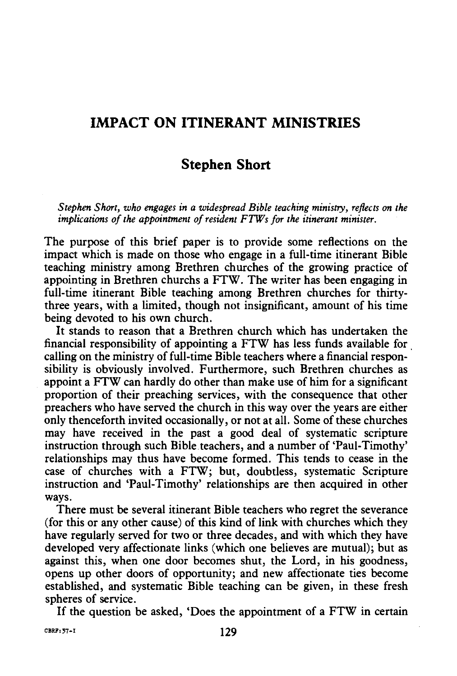## **IMPACT ON ITINERANT MINISTRIES**

## **Stephen Short**

*Stephen Short, who engages in a widespread Bible teaching ministry, reflects on the implications of the appointment of resident FTWs for the itinerant minister.* 

The purpose of this brief paper is to provide some reflections on the impact which is made on those who engage in a full-time itinerant Bible teaching ministry among Brethren churches of the growing practice of appointing in Brethren churchs a FTW. The writer has been engaging in full-time itinerant Bible teaching among Brethren churches for thirtythree years, with a limited, though not insignificant, amount of his time being devoted to his own church.

It stands to reason that a Brethren church which has undertaken the financial responsibility of appointing a FTW has less funds available for . calling on the ministry of full-time Bible teachers where a financial responsibility is obviously involved. Furthermore, such Brethren churches as appoint a FTW can hardly do other than make use of him for a significant proportion of their preaching services, with the consequence that other preachers who have served the church in this way over the years are either only thenceforth invited occasionally, or not at all. Some of these churches may have received in the past a good deal of systematic scripture instruction through such Bible.teachers, and a number of 'Paul-Timothy' relationships may thus have become formed. This tends to cease in the case of churches with a FTW; but, doubtless, systematic Scripture instruction and 'Paul-Timothy' relationships are then acquired in other ways.

There must be several itinerant Bible teachers who regret the severance (for this or any other cause) of this kind of link with churches which they have regularly served for two or three decades, and with which they have developed very affectionate links (which one believes are mutual); but as against this, when one door becomes shut, the Lord, in his goodness, opens up other doors of opportunity; and new affectionate ties become established, and systematic Bible teaching can be given, in these fresh spheres of service.

If the question be asked, 'Does the appointment of a FTW in certain